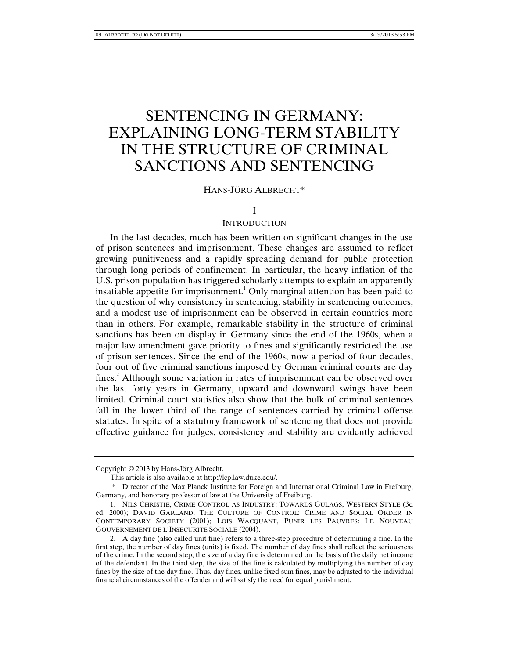# SENTENCING IN GERMANY: EXPLAINING LONG-TERM STABILITY IN THE STRUCTURE OF CRIMINAL SANCTIONS AND SENTENCING

## HANS-JÖRG ALBRECHT\*

#### I

## **INTRODUCTION**

In the last decades, much has been written on significant changes in the use of prison sentences and imprisonment. These changes are assumed to reflect growing punitiveness and a rapidly spreading demand for public protection through long periods of confinement. In particular, the heavy inflation of the U.S. prison population has triggered scholarly attempts to explain an apparently insatiable appetite for imprisonment.<sup>1</sup> Only marginal attention has been paid to the question of why consistency in sentencing, stability in sentencing outcomes, and a modest use of imprisonment can be observed in certain countries more than in others. For example, remarkable stability in the structure of criminal sanctions has been on display in Germany since the end of the 1960s, when a major law amendment gave priority to fines and significantly restricted the use of prison sentences. Since the end of the 1960s, now a period of four decades, four out of five criminal sanctions imposed by German criminal courts are day fines.<sup>2</sup> Although some variation in rates of imprisonment can be observed over the last forty years in Germany, upward and downward swings have been limited. Criminal court statistics also show that the bulk of criminal sentences fall in the lower third of the range of sentences carried by criminal offense statutes. In spite of a statutory framework of sentencing that does not provide effective guidance for judges, consistency and stability are evidently achieved

Copyright © 2013 by Hans-Jörg Albrecht.

This article is also available at http://lcp.law.duke.edu/.

 <sup>\*</sup> Director of the Max Planck Institute for Foreign and International Criminal Law in Freiburg, Germany, and honorary professor of law at the University of Freiburg.

 <sup>1.</sup> NILS CHRISTIE, CRIME CONTROL AS INDUSTRY: TOWARDS GULAGS, WESTERN STYLE (3d ed. 2000); DAVID GARLAND, THE CULTURE OF CONTROL: CRIME AND SOCIAL ORDER IN CONTEMPORARY SOCIETY (2001); LOIS WACQUANT, PUNIR LES PAUVRES: LE NOUVEAU GOUVERNEMENT DE L'INSECURITE SOCIALE (2004).

 <sup>2.</sup> A day fine (also called unit fine) refers to a three-step procedure of determining a fine. In the first step, the number of day fines (units) is fixed. The number of day fines shall reflect the seriousness of the crime. In the second step, the size of a day fine is determined on the basis of the daily net income of the defendant. In the third step, the size of the fine is calculated by multiplying the number of day fines by the size of the day fine. Thus, day fines, unlike fixed-sum fines, may be adjusted to the individual financial circumstances of the offender and will satisfy the need for equal punishment.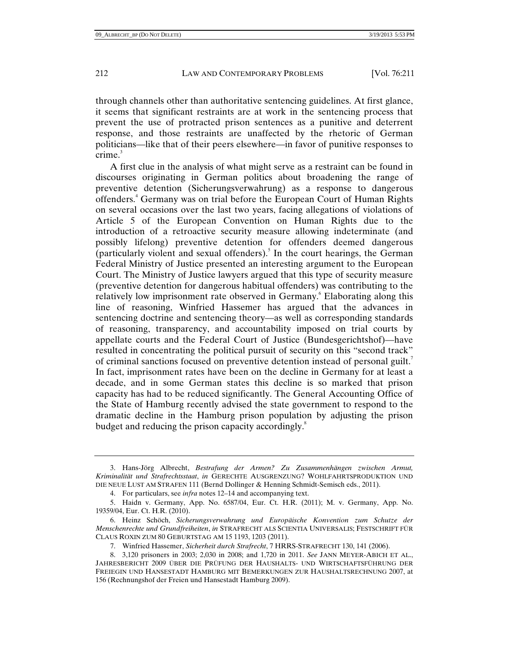through channels other than authoritative sentencing guidelines. At first glance, it seems that significant restraints are at work in the sentencing process that prevent the use of protracted prison sentences as a punitive and deterrent response, and those restraints are unaffected by the rhetoric of German politicians—like that of their peers elsewhere—in favor of punitive responses to crime.<sup>3</sup>

A first clue in the analysis of what might serve as a restraint can be found in discourses originating in German politics about broadening the range of preventive detention (Sicherungsverwahrung) as a response to dangerous offenders.<sup>4</sup> Germany was on trial before the European Court of Human Rights on several occasions over the last two years, facing allegations of violations of Article 5 of the European Convention on Human Rights due to the introduction of a retroactive security measure allowing indeterminate (and possibly lifelong) preventive detention for offenders deemed dangerous (particularly violent and sexual offenders).<sup>5</sup> In the court hearings, the German Federal Ministry of Justice presented an interesting argument to the European Court. The Ministry of Justice lawyers argued that this type of security measure (preventive detention for dangerous habitual offenders) was contributing to the relatively low imprisonment rate observed in Germany. Elaborating along this line of reasoning, Winfried Hassemer has argued that the advances in sentencing doctrine and sentencing theory—as well as corresponding standards of reasoning, transparency, and accountability imposed on trial courts by appellate courts and the Federal Court of Justice (Bundesgerichtshof)—have resulted in concentrating the political pursuit of security on this "second track" of criminal sanctions focused on preventive detention instead of personal guilt.<sup>7</sup> In fact, imprisonment rates have been on the decline in Germany for at least a decade, and in some German states this decline is so marked that prison capacity has had to be reduced significantly. The General Accounting Office of the State of Hamburg recently advised the state government to respond to the dramatic decline in the Hamburg prison population by adjusting the prison budget and reducing the prison capacity accordingly.<sup>8</sup>

 <sup>3.</sup> Hans-Jörg Albrecht, *Bestrafung der Armen? Zu Zusammenhängen zwischen Armut, Kriminalität und Strafrechtsstaat*, *in* GERECHTE AUSGRENZUNG? WOHLFAHRTSPRODUKTION UND DIE NEUE LUST AM STRAFEN 111 (Bernd Dollinger & Henning Schmidt-Semisch eds., 2011).

 <sup>4.</sup> For particulars, see *infra* notes 12–14 and accompanying text.

 <sup>5.</sup> Haidn v. Germany, App. No. 6587/04, Eur. Ct. H.R. (2011); M. v. Germany, App. No. 19359/04, Eur. Ct. H.R. (2010).

 <sup>6.</sup> Heinz Schöch, *Sicherungsverwahrung und Europäische Konvention zum Schutze der Menschenrechte und Grundfreiheiten*, *in* STRAFRECHT ALS SCIENTIA UNIVERSALIS; FESTSCHRIFT FÜR CLAUS ROXIN ZUM 80 GEBURTSTAG AM 15 1193, 1203 (2011).

 <sup>7.</sup> Winfried Hassemer, *Sicherheit durch Strafrecht*, 7 HRRS-STRAFRECHT 130, 141 (2006).

 <sup>8. 3,120</sup> prisoners in 2003; 2,030 in 2008; and 1,720 in 2011. *See* JANN MEYER-ABICH ET AL., JAHRESBERICHT 2009 ÜBER DIE PRÜFUNG DER HAUSHALTS- UND WIRTSCHAFTSFÜHRUNG DER FREIEGIN UND HANSESTADT HAMBURG MIT BEMERKUNGEN ZUR HAUSHALTSRECHNUNG 2007, at 156 (Rechnungshof der Freien und Hansestadt Hamburg 2009).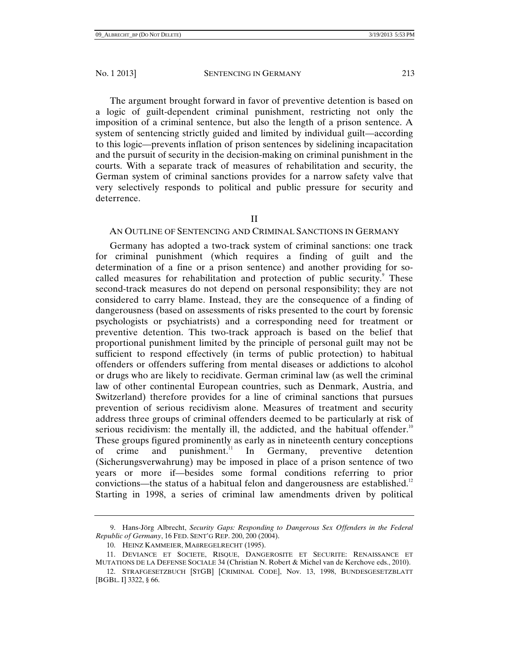The argument brought forward in favor of preventive detention is based on a logic of guilt-dependent criminal punishment, restricting not only the imposition of a criminal sentence, but also the length of a prison sentence. A system of sentencing strictly guided and limited by individual guilt—according to this logic—prevents inflation of prison sentences by sidelining incapacitation and the pursuit of security in the decision-making on criminal punishment in the courts. With a separate track of measures of rehabilitation and security, the German system of criminal sanctions provides for a narrow safety valve that very selectively responds to political and public pressure for security and deterrence.

# II

# AN OUTLINE OF SENTENCING AND CRIMINAL SANCTIONS IN GERMANY

Germany has adopted a two-track system of criminal sanctions: one track for criminal punishment (which requires a finding of guilt and the determination of a fine or a prison sentence) and another providing for socalled measures for rehabilitation and protection of public security.<sup>9</sup> These second-track measures do not depend on personal responsibility; they are not considered to carry blame. Instead, they are the consequence of a finding of dangerousness (based on assessments of risks presented to the court by forensic psychologists or psychiatrists) and a corresponding need for treatment or preventive detention. This two-track approach is based on the belief that proportional punishment limited by the principle of personal guilt may not be sufficient to respond effectively (in terms of public protection) to habitual offenders or offenders suffering from mental diseases or addictions to alcohol or drugs who are likely to recidivate. German criminal law (as well the criminal law of other continental European countries, such as Denmark, Austria, and Switzerland) therefore provides for a line of criminal sanctions that pursues prevention of serious recidivism alone. Measures of treatment and security address three groups of criminal offenders deemed to be particularly at risk of serious recidivism: the mentally ill, the addicted, and the habitual offender.<sup>10</sup> These groups figured prominently as early as in nineteenth century conceptions of crime and punishment.<sup>11</sup> In Germany, preventive detention (Sicherungsverwahrung) may be imposed in place of a prison sentence of two years or more if—besides some formal conditions referring to prior convictions—the status of a habitual felon and dangerousness are established.<sup>12</sup> Starting in 1998, a series of criminal law amendments driven by political

 <sup>9.</sup> Hans-Jörg Albrecht, *Security Gaps: Responding to Dangerous Sex Offenders in the Federal Republic of Germany*, 16 FED. SENT'G REP. 200, 200 (2004).

 <sup>10.</sup> HEINZ KAMMEIER, MAßREGELRECHT (1995).

 <sup>11.</sup> DEVIANCE ET SOCIETE, RISQUE, DANGEROSITE ET SECURITE: RENAISSANCE ET MUTATIONS DE LA DEFENSE SOCIALE 34 (Christian N. Robert & Michel van de Kerchove eds., 2010).

 <sup>12.</sup> STRAFGESETZBUCH [STGB] [CRIMINAL CODE], Nov. 13, 1998, BUNDESGESETZBLATT [BGBL. I] 3322, § 66.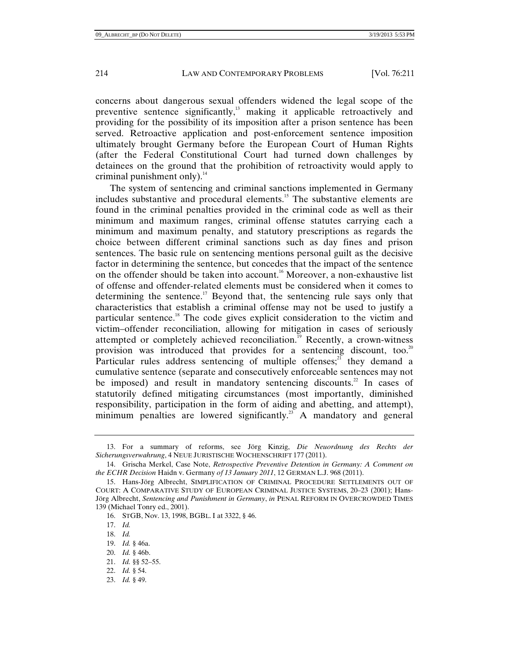concerns about dangerous sexual offenders widened the legal scope of the preventive sentence significantly,<sup>13</sup> making it applicable retroactively and providing for the possibility of its imposition after a prison sentence has been served. Retroactive application and post-enforcement sentence imposition ultimately brought Germany before the European Court of Human Rights (after the Federal Constitutional Court had turned down challenges by detainees on the ground that the prohibition of retroactivity would apply to criminal punishment only $l^4$ .

The system of sentencing and criminal sanctions implemented in Germany includes substantive and procedural elements.15 The substantive elements are found in the criminal penalties provided in the criminal code as well as their minimum and maximum ranges, criminal offense statutes carrying each a minimum and maximum penalty, and statutory prescriptions as regards the choice between different criminal sanctions such as day fines and prison sentences. The basic rule on sentencing mentions personal guilt as the decisive factor in determining the sentence, but concedes that the impact of the sentence on the offender should be taken into account.<sup>16</sup> Moreover, a non-exhaustive list of offense and offender-related elements must be considered when it comes to determining the sentence.<sup>17</sup> Beyond that, the sentencing rule says only that characteristics that establish a criminal offense may not be used to justify a particular sentence.<sup>18</sup> The code gives explicit consideration to the victim and victim–offender reconciliation, allowing for mitigation in cases of seriously attempted or completely achieved reconciliation.<sup>19</sup> Recently, a crown-witness provision was introduced that provides for a sentencing discount, too.<sup>20</sup> Particular rules address sentencing of multiple offenses; $^{21}$  they demand a cumulative sentence (separate and consecutively enforceable sentences may not be imposed) and result in mandatory sentencing discounts.<sup>22</sup> In cases of statutorily defined mitigating circumstances (most importantly, diminished responsibility, participation in the form of aiding and abetting, and attempt), minimum penalties are lowered significantly.<sup>23</sup> A mandatory and general

- 20. *Id.* § 46b.
- 21. *Id.* §§ 52–55.
- 22. *Id.* § 54.
- 23. *Id.* § 49.

 <sup>13.</sup> For a summary of reforms, see Jörg Kinzig, *Die Neuordnung des Rechts der Sicherungsverwahrung*, 4 NEUE JURISTISCHE WOCHENSCHRIFT 177 (2011).

 <sup>14.</sup> Grischa Merkel, Case Note, *Retrospective Preventive Detention in Germany: A Comment on the ECHR Decision* Haidn v. Germany *of 13 January 2011*, 12 GERMAN L.J. 968 (2011).

 <sup>15.</sup> Hans-Jörg Albrecht, SIMPLIFICATION OF CRIMINAL PROCEDURE SETTLEMENTS OUT OF COURT: A COMPARATIVE STUDY OF EUROPEAN CRIMINAL JUSTICE SYSTEMS, 20–23 (2001); Hans-Jörg Albrecht, *Sentencing and Punishment in Germany*, *in* PENAL REFORM IN OVERCROWDED TIMES 139 (Michael Tonry ed., 2001).

 <sup>16.</sup> STGB, Nov. 13, 1998, BGBL. I at 3322, § 46.

 <sup>17.</sup> *Id.*

 <sup>18.</sup> *Id.*

 <sup>19.</sup> *Id.* § 46a.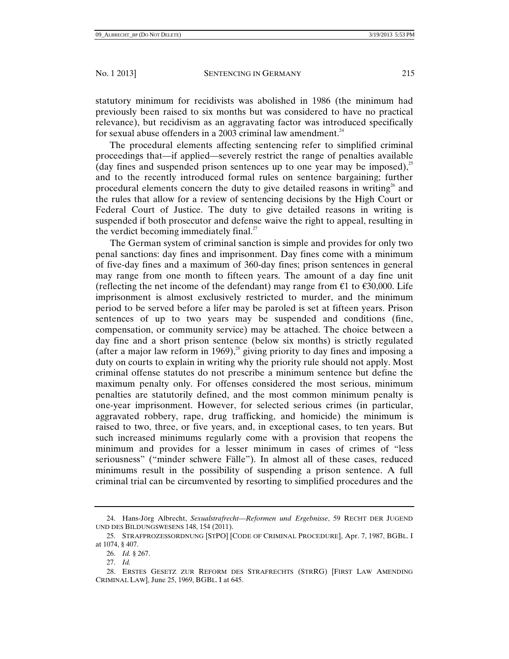statutory minimum for recidivists was abolished in 1986 (the minimum had previously been raised to six months but was considered to have no practical relevance), but recidivism as an aggravating factor was introduced specifically for sexual abuse offenders in a 2003 criminal law amendment. $24$ 

The procedural elements affecting sentencing refer to simplified criminal proceedings that—if applied—severely restrict the range of penalties available (day fines and suspended prison sentences up to one year may be imposed), $^{25}$ and to the recently introduced formal rules on sentence bargaining; further procedural elements concern the duty to give detailed reasons in writing<sup>26</sup> and the rules that allow for a review of sentencing decisions by the High Court or Federal Court of Justice. The duty to give detailed reasons in writing is suspended if both prosecutor and defense waive the right to appeal, resulting in the verdict becoming immediately final.<sup>27</sup>

The German system of criminal sanction is simple and provides for only two penal sanctions: day fines and imprisonment. Day fines come with a minimum of five-day fines and a maximum of 360-day fines; prison sentences in general may range from one month to fifteen years. The amount of a day fine unit (reflecting the net income of the defendant) may range from  $\epsilon$ 1 to  $\epsilon$ 30,000. Life imprisonment is almost exclusively restricted to murder, and the minimum period to be served before a lifer may be paroled is set at fifteen years. Prison sentences of up to two years may be suspended and conditions (fine, compensation, or community service) may be attached. The choice between a day fine and a short prison sentence (below six months) is strictly regulated (after a major law reform in 1969), $^{28}$  giving priority to day fines and imposing a duty on courts to explain in writing why the priority rule should not apply. Most criminal offense statutes do not prescribe a minimum sentence but define the maximum penalty only. For offenses considered the most serious, minimum penalties are statutorily defined, and the most common minimum penalty is one-year imprisonment. However, for selected serious crimes (in particular, aggravated robbery, rape, drug trafficking, and homicide) the minimum is raised to two, three, or five years, and, in exceptional cases, to ten years. But such increased minimums regularly come with a provision that reopens the minimum and provides for a lesser minimum in cases of crimes of "less seriousness" ("minder schwere Fälle"). In almost all of these cases, reduced minimums result in the possibility of suspending a prison sentence. A full criminal trial can be circumvented by resorting to simplified procedures and the

 <sup>24.</sup> Hans-Jörg Albrecht, *Sexualstrafrecht—Reformen und Ergebnisse*, 59 RECHT DER JUGEND UND DES BILDUNGSWESENS 148, 154 (2011).

 <sup>25.</sup> STRAFPROZESSORDNUNG [STPO] [CODE OF CRIMINAL PROCEDURE], Apr. 7, 1987, BGBL. I at 1074, § 407.

 <sup>26.</sup> *Id.* § 267.

 <sup>27.</sup> *Id.*

 <sup>28.</sup> ERSTES GESETZ ZUR REFORM DES STRAFRECHTS (STRRG) [FIRST LAW AMENDING CRIMINAL LAW], June 25, 1969, BGBL. I at 645.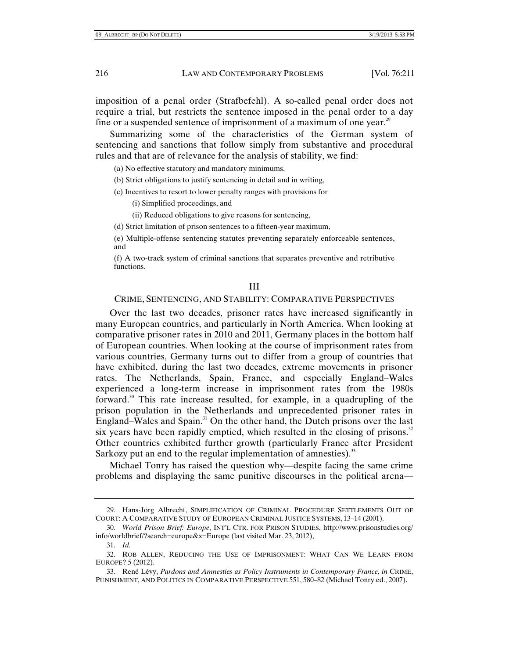imposition of a penal order (Strafbefehl). A so-called penal order does not require a trial, but restricts the sentence imposed in the penal order to a day fine or a suspended sentence of imprisonment of a maximum of one year.<sup>29</sup>

Summarizing some of the characteristics of the German system of sentencing and sanctions that follow simply from substantive and procedural rules and that are of relevance for the analysis of stability, we find:

(a) No effective statutory and mandatory minimums,

- (b) Strict obligations to justify sentencing in detail and in writing,
- (c) Incentives to resort to lower penalty ranges with provisions for
	- (i) Simplified proceedings, and
	- (ii) Reduced obligations to give reasons for sentencing,
- (d) Strict limitation of prison sentences to a fifteen-year maximum,

(e) Multiple-offense sentencing statutes preventing separately enforceable sentences, and

(f) A two-track system of criminal sanctions that separates preventive and retributive functions.

#### III

#### CRIME, SENTENCING, AND STABILITY: COMPARATIVE PERSPECTIVES

Over the last two decades, prisoner rates have increased significantly in many European countries, and particularly in North America. When looking at comparative prisoner rates in 2010 and 2011, Germany places in the bottom half of European countries. When looking at the course of imprisonment rates from various countries, Germany turns out to differ from a group of countries that have exhibited, during the last two decades, extreme movements in prisoner rates. The Netherlands, Spain, France, and especially England–Wales experienced a long-term increase in imprisonment rates from the 1980s forward.<sup>30</sup> This rate increase resulted, for example, in a quadrupling of the prison population in the Netherlands and unprecedented prisoner rates in England–Wales and Spain.<sup>31</sup> On the other hand, the Dutch prisons over the last six years have been rapidly emptied, which resulted in the closing of prisons. $32$ Other countries exhibited further growth (particularly France after President Sarkozy put an end to the regular implementation of amnesties).<sup>33</sup>

Michael Tonry has raised the question why—despite facing the same crime problems and displaying the same punitive discourses in the political arena—

 33. René Lévy, *Pardons and Amnesties as Policy Instruments in Contemporary France*, *in* CRIME, PUNISHMENT, AND POLITICS IN COMPARATIVE PERSPECTIVE 551, 580–82 (Michael Tonry ed., 2007).

 <sup>29.</sup> Hans-Jörg Albrecht, SIMPLIFICATION OF CRIMINAL PROCEDURE SETTLEMENTS OUT OF COURT: A COMPARATIVE STUDY OF EUROPEAN CRIMINAL JUSTICE SYSTEMS, 13–14 (2001).

 <sup>30.</sup> *World Prison Brief: Europe*, INT'L CTR. FOR PRISON STUDIES, http://www.prisonstudies.org/ info/worldbrief/?search=europe&x=Europe (last visited Mar. 23, 2012),

 <sup>31.</sup> *Id.*

 <sup>32.</sup> ROB ALLEN, REDUCING THE USE OF IMPRISONMENT: WHAT CAN WE LEARN FROM EUROPE? 5 (2012).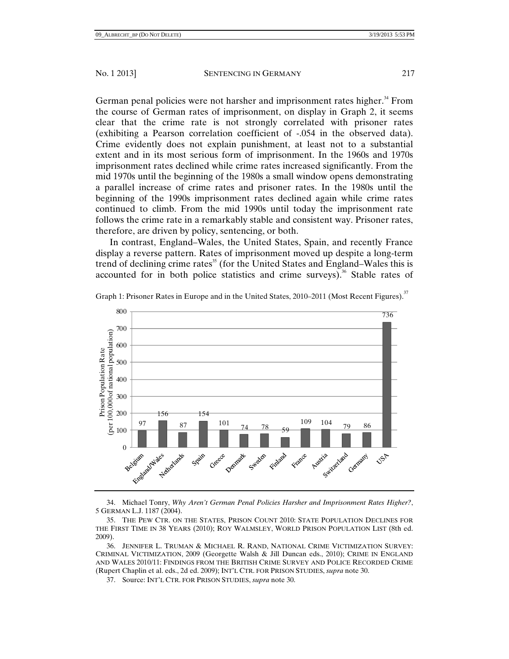German penal policies were not harsher and imprisonment rates higher.<sup>34</sup> From the course of German rates of imprisonment, on display in Graph 2, it seems clear that the crime rate is not strongly correlated with prisoner rates (exhibiting a Pearson correlation coefficient of -.054 in the observed data). Crime evidently does not explain punishment, at least not to a substantial extent and in its most serious form of imprisonment. In the 1960s and 1970s imprisonment rates declined while crime rates increased significantly. From the mid 1970s until the beginning of the 1980s a small window opens demonstrating a parallel increase of crime rates and prisoner rates. In the 1980s until the beginning of the 1990s imprisonment rates declined again while crime rates continued to climb. From the mid 1990s until today the imprisonment rate follows the crime rate in a remarkably stable and consistent way. Prisoner rates, therefore, are driven by policy, sentencing, or both.

In contrast, England–Wales, the United States, Spain, and recently France display a reverse pattern. Rates of imprisonment moved up despite a long-term trend of declining crime rates<sup>35</sup> (for the United States and England–Wales this is accounted for in both police statistics and crime surveys).<sup>36</sup> Stable rates of



Graph 1: Prisoner Rates in Europe and in the United States, 2010–2011 (Most Recent Figures).<sup>37</sup>

 34. Michael Tonry, *Why Aren't German Penal Policies Harsher and Imprisonment Rates Higher?*, 5 GERMAN L.J. 1187 (2004).

 35. THE PEW CTR. ON THE STATES, PRISON COUNT 2010: STATE POPULATION DECLINES FOR THE FIRST TIME IN 38 YEARS (2010); ROY WALMSLEY, WORLD PRISON POPULATION LIST (8th ed. 2009).

 36. JENNIFER L. TRUMAN & MICHAEL R. RAND, NATIONAL CRIME VICTIMIZATION SURVEY: CRIMINAL VICTIMIZATION, 2009 (Georgette Walsh & Jill Duncan eds., 2010); CRIME IN ENGLAND AND WALES 2010/11: FINDINGS FROM THE BRITISH CRIME SURVEY AND POLICE RECORDED CRIME (Rupert Chaplin et al. eds., 2d ed. 2009); INT'L CTR. FOR PRISON STUDIES, *supra* note 30.

37. Source: INT'L CTR. FOR PRISON STUDIES, *supra* note 30.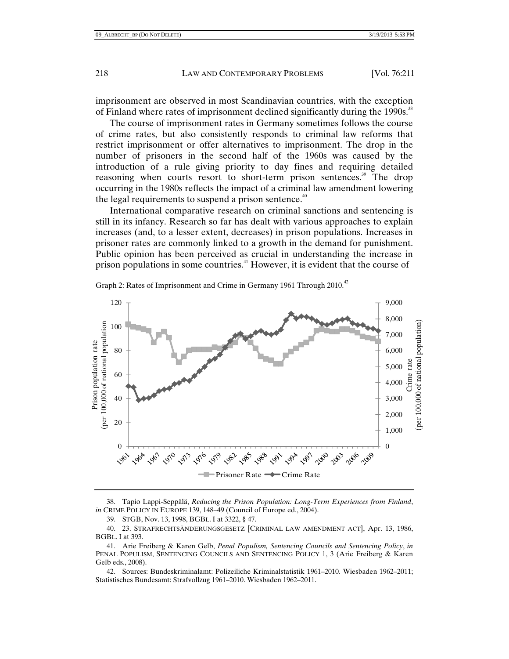imprisonment are observed in most Scandinavian countries, with the exception of Finland where rates of imprisonment declined significantly during the 1990s.<sup>38</sup>

The course of imprisonment rates in Germany sometimes follows the course of crime rates, but also consistently responds to criminal law reforms that restrict imprisonment or offer alternatives to imprisonment. The drop in the number of prisoners in the second half of the 1960s was caused by the introduction of a rule giving priority to day fines and requiring detailed reasoning when courts resort to short-term prison sentences.<sup>39</sup> The drop occurring in the 1980s reflects the impact of a criminal law amendment lowering the legal requirements to suspend a prison sentence.<sup>40</sup>

International comparative research on criminal sanctions and sentencing is still in its infancy. Research so far has dealt with various approaches to explain increases (and, to a lesser extent, decreases) in prison populations. Increases in prisoner rates are commonly linked to a growth in the demand for punishment. Public opinion has been perceived as crucial in understanding the increase in prison populations in some countries.41 However, it is evident that the course of



Graph 2: Rates of Imprisonment and Crime in Germany 1961 Through 2010.<sup>42</sup>

 38. Tapio Lappi-Seppälä, *Reducing the Prison Population: Long-Term Experiences from Finland*, *in* CRIME POLICY IN EUROPE 139, 148–49 (Council of Europe ed., 2004).

39. STGB, Nov. 13, 1998, BGBL. I at 3322, § 47.

 40. 23. STRAFRECHTSÄNDERUNGSGESETZ [CRIMINAL LAW AMENDMENT ACT], Apr. 13, 1986, BGBL. I at 393.

 41. Arie Freiberg & Karen Gelb, *Penal Populism, Sentencing Councils and Sentencing Policy*, *in* PENAL POPULISM, SENTENCING COUNCILS AND SENTENCING POLICY 1, 3 (Arie Freiberg & Karen Gelb eds., 2008).

 42. Sources: Bundeskriminalamt: Polizeiliche Kriminalstatistik 1961–2010. Wiesbaden 1962–2011; Statistisches Bundesamt: Strafvollzug 1961–2010. Wiesbaden 1962–2011.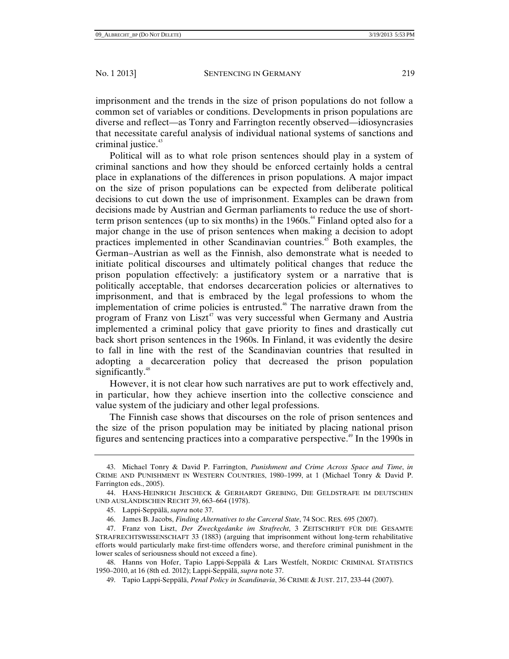imprisonment and the trends in the size of prison populations do not follow a common set of variables or conditions. Developments in prison populations are diverse and reflect—as Tonry and Farrington recently observed—idiosyncrasies that necessitate careful analysis of individual national systems of sanctions and criminal justice. $43$ 

Political will as to what role prison sentences should play in a system of criminal sanctions and how they should be enforced certainly holds a central place in explanations of the differences in prison populations. A major impact on the size of prison populations can be expected from deliberate political decisions to cut down the use of imprisonment. Examples can be drawn from decisions made by Austrian and German parliaments to reduce the use of shortterm prison sentences (up to six months) in the  $1960s<sup>44</sup>$  Finland opted also for a major change in the use of prison sentences when making a decision to adopt practices implemented in other Scandinavian countries.<sup>45</sup> Both examples, the German–Austrian as well as the Finnish, also demonstrate what is needed to initiate political discourses and ultimately political changes that reduce the prison population effectively: a justificatory system or a narrative that is politically acceptable, that endorses decarceration policies or alternatives to imprisonment, and that is embraced by the legal professions to whom the implementation of crime policies is entrusted.<sup>46</sup> The narrative drawn from the program of Franz von Liszt<sup>47</sup> was very successful when Germany and Austria implemented a criminal policy that gave priority to fines and drastically cut back short prison sentences in the 1960s. In Finland, it was evidently the desire to fall in line with the rest of the Scandinavian countries that resulted in adopting a decarceration policy that decreased the prison population significantly. $48$ 

However, it is not clear how such narratives are put to work effectively and, in particular, how they achieve insertion into the collective conscience and value system of the judiciary and other legal professions.

The Finnish case shows that discourses on the role of prison sentences and the size of the prison population may be initiated by placing national prison figures and sentencing practices into a comparative perspective.<sup>49</sup> In the 1990s in

 48. Hanns von Hofer, Tapio Lappi-Seppälä & Lars Westfelt, NORDIC CRIMINAL STATISTICS 1950–2010, at 16 (8th ed. 2012); Lappi-Seppälä, *supra* note 37.

 <sup>43.</sup> Michael Tonry & David P. Farrington, *Punishment and Crime Across Space and Time*, *in* CRIME AND PUNISHMENT IN WESTERN COUNTRIES, 1980–1999, at 1 (Michael Tonry & David P. Farrington eds., 2005).

 <sup>44.</sup> HANS-HEINRICH JESCHECK & GERHARDT GREBING, DIE GELDSTRAFE IM DEUTSCHEN UND AUSLÄNDISCHEN RECHT 39, 663–664 (1978).

 <sup>45.</sup> Lappi-Seppälä, *supra* note 37.

 <sup>46.</sup> James B. Jacobs, *Finding Alternatives to the Carceral State*, 74 SOC. RES. 695 (2007).

 <sup>47.</sup> Franz von Liszt, *Der Zweckgedanke im Strafrecht*, 3 ZEITSCHRIFT FÜR DIE GESAMTE STRAFRECHTSWISSENSCHAFT 33 (1883) (arguing that imprisonment without long-term rehabilitative efforts would particularly make first-time offenders worse, and therefore criminal punishment in the lower scales of seriousness should not exceed a fine).

 <sup>49.</sup> Tapio Lappi-Seppälä, *Penal Policy in Scandinavia*, 36 CRIME & JUST. 217, 233-44 (2007).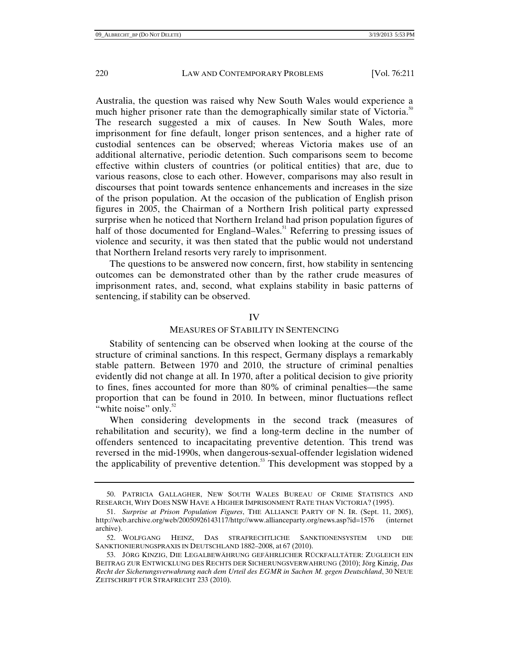Australia, the question was raised why New South Wales would experience a much higher prisoner rate than the demographically similar state of Victoria.<sup>50</sup> The research suggested a mix of causes. In New South Wales, more imprisonment for fine default, longer prison sentences, and a higher rate of custodial sentences can be observed; whereas Victoria makes use of an additional alternative, periodic detention. Such comparisons seem to become effective within clusters of countries (or political entities) that are, due to various reasons, close to each other. However, comparisons may also result in discourses that point towards sentence enhancements and increases in the size of the prison population. At the occasion of the publication of English prison figures in 2005, the Chairman of a Northern Irish political party expressed surprise when he noticed that Northern Ireland had prison population figures of half of those documented for England–Wales.<sup>51</sup> Referring to pressing issues of violence and security, it was then stated that the public would not understand that Northern Ireland resorts very rarely to imprisonment.

The questions to be answered now concern, first, how stability in sentencing outcomes can be demonstrated other than by the rather crude measures of imprisonment rates, and, second, what explains stability in basic patterns of sentencing, if stability can be observed.

# IV

## MEASURES OF STABILITY IN SENTENCING

Stability of sentencing can be observed when looking at the course of the structure of criminal sanctions. In this respect, Germany displays a remarkably stable pattern. Between 1970 and 2010, the structure of criminal penalties evidently did not change at all. In 1970, after a political decision to give priority to fines, fines accounted for more than 80% of criminal penalties—the same proportion that can be found in 2010. In between, minor fluctuations reflect "white noise" only.<sup>52</sup>

When considering developments in the second track (measures of rehabilitation and security), we find a long-term decline in the number of offenders sentenced to incapacitating preventive detention. This trend was reversed in the mid-1990s, when dangerous-sexual-offender legislation widened the applicability of preventive detention.<sup>53</sup> This development was stopped by a

 <sup>50.</sup> PATRICIA GALLAGHER, NEW SOUTH WALES BUREAU OF CRIME STATISTICS AND RESEARCH, WHY DOES NSW HAVE A HIGHER IMPRISONMENT RATE THAN VICTORIA? (1995).

 <sup>51.</sup> *Surprise at Prison Population Figures*, THE ALLIANCE PARTY OF N. IR. (Sept. 11, 2005), http://web.archive.org/web/20050926143117/http://www.allianceparty.org/news.asp?id=1576 (internet archive).

 <sup>52.</sup> WOLFGANG HEINZ, DAS STRAFRECHTLICHE SANKTIONENSYSTEM UND DIE SANKTIONIERUNGSPRAXIS IN DEUTSCHLAND 1882–2008, at 67 (2010).

 <sup>53.</sup> JÖRG KINZIG, DIE LEGALBEWÄHRUNG GEFÄHRLICHER RÜCKFALLTÄTER: ZUGLEICH EIN BEITRAG ZUR ENTWICKLUNG DES RECHTS DER SICHERUNGSVERWAHRUNG (2010); Jörg Kinzig, *Das Recht der Sicherungsverwahrung nach dem Urteil des EGMR in Sachen M. gegen Deutschland*, 30 NEUE ZEITSCHRIFT FÜR STRAFRECHT 233 (2010).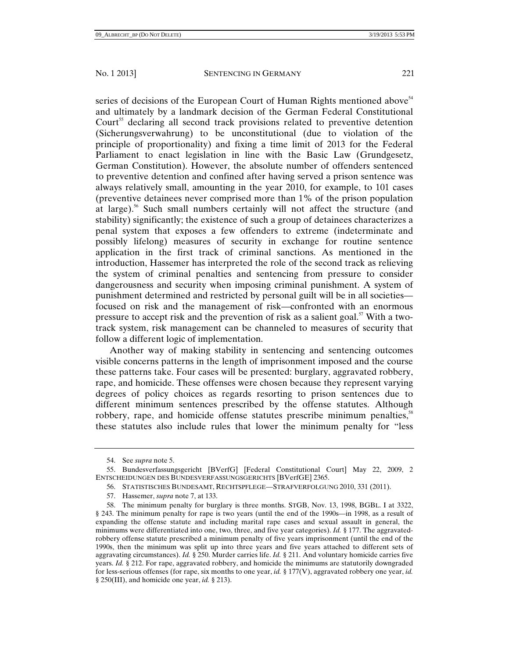series of decisions of the European Court of Human Rights mentioned above<sup>54</sup> and ultimately by a landmark decision of the German Federal Constitutional Court<sup>55</sup> declaring all second track provisions related to preventive detention (Sicherungsverwahrung) to be unconstitutional (due to violation of the principle of proportionality) and fixing a time limit of 2013 for the Federal Parliament to enact legislation in line with the Basic Law (Grundgesetz, German Constitution). However, the absolute number of offenders sentenced to preventive detention and confined after having served a prison sentence was always relatively small, amounting in the year 2010, for example, to 101 cases (preventive detainees never comprised more than 1% of the prison population at large).<sup>56</sup> Such small numbers certainly will not affect the structure (and stability) significantly; the existence of such a group of detainees characterizes a penal system that exposes a few offenders to extreme (indeterminate and possibly lifelong) measures of security in exchange for routine sentence application in the first track of criminal sanctions. As mentioned in the introduction, Hassemer has interpreted the role of the second track as relieving the system of criminal penalties and sentencing from pressure to consider dangerousness and security when imposing criminal punishment. A system of punishment determined and restricted by personal guilt will be in all societies focused on risk and the management of risk—confronted with an enormous pressure to accept risk and the prevention of risk as a salient goal.<sup>57</sup> With a twotrack system, risk management can be channeled to measures of security that follow a different logic of implementation.

Another way of making stability in sentencing and sentencing outcomes visible concerns patterns in the length of imprisonment imposed and the course these patterns take. Four cases will be presented: burglary, aggravated robbery, rape, and homicide. These offenses were chosen because they represent varying degrees of policy choices as regards resorting to prison sentences due to different minimum sentences prescribed by the offense statutes. Although robbery, rape, and homicide offense statutes prescribe minimum penalties,<sup>58</sup> these statutes also include rules that lower the minimum penalty for "less

 <sup>54.</sup> See *supra* note 5.

 <sup>55.</sup> Bundesverfassungsgericht [BVerfG] [Federal Constitutional Court] May 22, 2009, 2 ENTSCHEIDUNGEN DES BUNDESVERFASSUNGSGERICHTS [BVerfGE] 2365.

 <sup>56.</sup> STATISTISCHES BUNDESAMT, RECHTSPFLEGE—STRAFVERFOLGUNG 2010, 331 (2011).

 <sup>57.</sup> Hassemer, *supra* note 7, at 133.

 <sup>58.</sup> The minimum penalty for burglary is three months. STGB, Nov. 13, 1998, BGBL. I at 3322, § 243. The minimum penalty for rape is two years (until the end of the 1990s—in 1998, as a result of expanding the offense statute and including marital rape cases and sexual assault in general, the minimums were differentiated into one, two, three, and five year categories). *Id.* § 177. The aggravatedrobbery offense statute prescribed a minimum penalty of five years imprisonment (until the end of the 1990s, then the minimum was split up into three years and five years attached to different sets of aggravating circumstances). *Id.* § 250. Murder carries life. *Id.* § 211. And voluntary homicide carries five years. *Id.* § 212. For rape, aggravated robbery, and homicide the minimums are statutorily downgraded for less-serious offenses (for rape, six months to one year, *id.* § 177(V), aggravated robbery one year, *id.*  § 250(III), and homicide one year, *id.* § 213).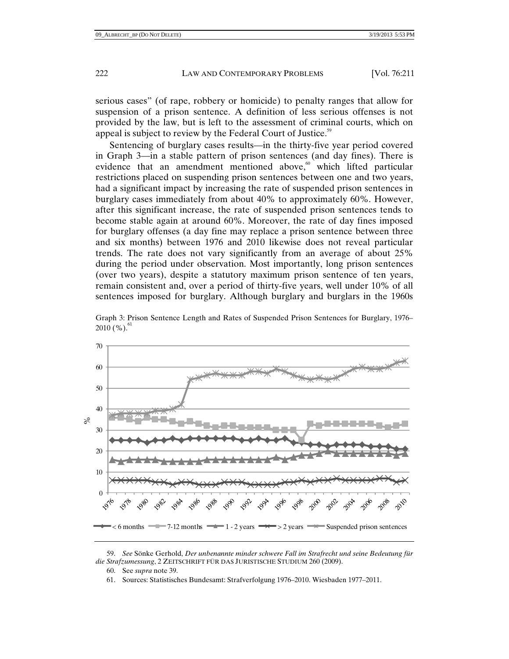serious cases" (of rape, robbery or homicide) to penalty ranges that allow for suspension of a prison sentence. A definition of less serious offenses is not provided by the law, but is left to the assessment of criminal courts, which on appeal is subject to review by the Federal Court of Justice.<sup>59</sup>

Sentencing of burglary cases results—in the thirty-five year period covered in Graph 3—in a stable pattern of prison sentences (and day fines). There is evidence that an amendment mentioned above, $60$  which lifted particular restrictions placed on suspending prison sentences between one and two years, had a significant impact by increasing the rate of suspended prison sentences in burglary cases immediately from about 40% to approximately 60%. However, after this significant increase, the rate of suspended prison sentences tends to become stable again at around 60%. Moreover, the rate of day fines imposed for burglary offenses (a day fine may replace a prison sentence between three and six months) between 1976 and 2010 likewise does not reveal particular trends. The rate does not vary significantly from an average of about 25% during the period under observation. Most importantly, long prison sentences (over two years), despite a statutory maximum prison sentence of ten years, remain consistent and, over a period of thirty-five years, well under 10% of all sentences imposed for burglary. Although burglary and burglars in the 1960s



Graph 3: Prison Sentence Length and Rates of Suspended Prison Sentences for Burglary, 1976–  $2010$  (%).

61. Sources: Statistisches Bundesamt: Strafverfolgung 1976–2010. Wiesbaden 1977–2011.

 <sup>59.</sup> *See* Sönke Gerhold, *Der unbenannte minder schwere Fall im Strafrecht und seine Bedeutung für die Strafzumessung*, 2 ZEITSCHRIFT FÜR DAS JURISTISCHE STUDIUM 260 (2009).

 <sup>60.</sup> See *supra* note 39.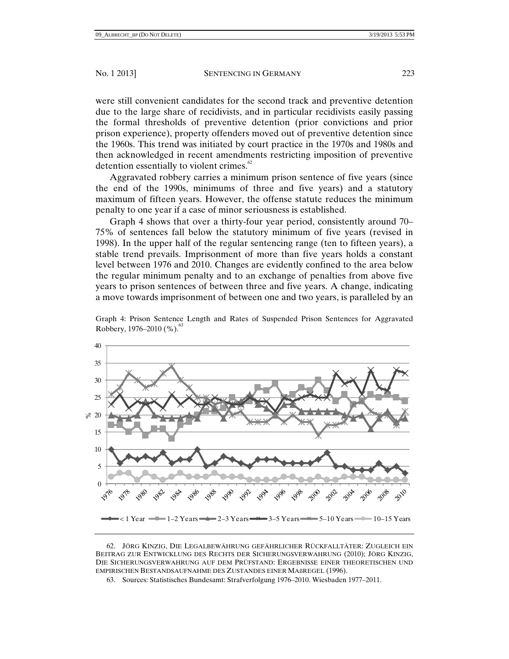were still convenient candidates for the second track and preventive detention due to the large share of recidivists, and in particular recidivists easily passing the formal thresholds of preventive detention (prior convictions and prior prison experience), property offenders moved out of preventive detention since the 1960s. This trend was initiated by court practice in the 1970s and 1980s and then acknowledged in recent amendments restricting imposition of preventive detention essentially to violent crimes. $62$ 

Aggravated robbery carries a minimum prison sentence of five years (since the end of the 1990s, minimums of three and five years) and a statutory maximum of fifteen years. However, the offense statute reduces the minimum penalty to one year if a case of minor seriousness is established.

Graph 4 shows that over a thirty-four year period, consistently around 70– 75% of sentences fall below the statutory minimum of five years (revised in 1998). In the upper half of the regular sentencing range (ten to fifteen years), a stable trend prevails. Imprisonment of more than five years holds a constant level between 1976 and 2010. Changes are evidently confined to the area below the regular minimum penalty and to an exchange of penalties from above five years to prison sentences of between three and five years. A change, indicating a move towards imprisonment of between one and two years, is paralleled by an



Graph 4: Prison Sentence Length and Rates of Suspended Prison Sentences for Aggravated Robbery, 1976–2010  $(\%).$ <sup>63</sup>

 <sup>62.</sup> JÖRG KINZIG, DIE LEGALBEWÄHRUNG GEFÄHRLICHER RÜCKFALLTÄTER: ZUGLEICH EIN BEITRAG ZUR ENTWICKLUNG DES RECHTS DER SICHERUNGSVERWAHRUNG (2010); JÖRG KINZIG, DIE SICHERUNGSVERWAHRUNG AUF DEM PRÜFSTAND: ERGEBNISSE EINER THEORETISCHEN UND EMPIRISCHEN BESTANDSAUFNAHME DES ZUSTANDES EINER MAßREGEL (1996).

 <sup>63.</sup> Sources: Statistisches Bundesamt: Strafverfolgung 1976–2010. Wiesbaden 1977–2011.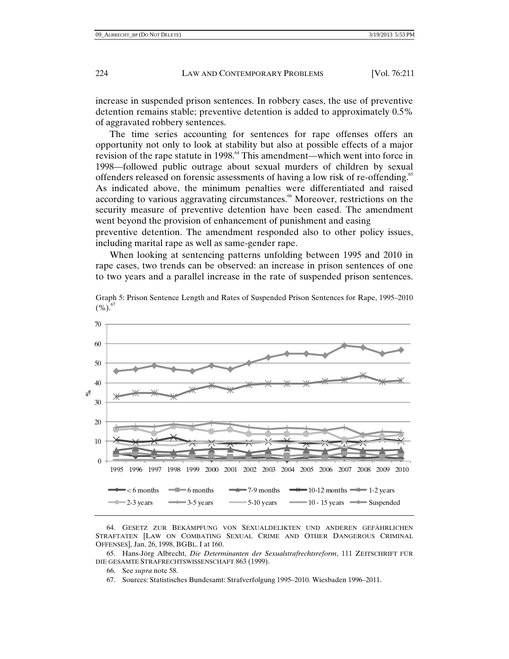increase in suspended prison sentences. In robbery cases, the use of preventive detention remains stable; preventive detention is added to approximately 0.5% of aggravated robbery sentences.

The time series accounting for sentences for rape offenses offers an opportunity not only to look at stability but also at possible effects of a major revision of the rape statute in 1998.<sup>64</sup> This amendment—which went into force in 1998—followed public outrage about sexual murders of children by sexual offenders released on forensic assessments of having a low risk of re-offending.<sup>65</sup> As indicated above, the minimum penalties were differentiated and raised according to various aggravating circumstances.<sup>66</sup> Moreover, restrictions on the security measure of preventive detention have been eased. The amendment went beyond the provision of enhancement of punishment and easing

preventive detention. The amendment responded also to other policy issues, including marital rape as well as same-gender rape.

When looking at sentencing patterns unfolding between 1995 and 2010 in rape cases, two trends can be observed: an increase in prison sentences of one to two years and a parallel increase in the rate of suspended prison sentences.

Graph 5: Prison Sentence Length and Rates of Suspended Prison Sentences for Rape, 1995–2010  $(\%)^6$ 



 64. GESETZ ZUR BEKÄMPFUNG VON SEXUALDELIKTEN UND ANDEREN GEFÄHRLICHEN STRAFTATEN [LAW ON COMBATING SEXUAL CRIME AND OTHER DANGEROUS CRIMINAL OFFENSES], Jan. 26, 1998, BGBL. I at 160.

 65. Hans-Jörg Albrecht, *Die Determinanten der Sexualstrafrechtsreform*, 111 ZEITSCHRIFT FÜR DIE GESAMTE STRAFRECHTSWISSENSCHAFT 863 (1999).

- 66. See *supra* note 58.
- 67. Sources: Statistisches Bundesamt: Strafverfolgung 1995–2010. Wiesbaden 1996–2011.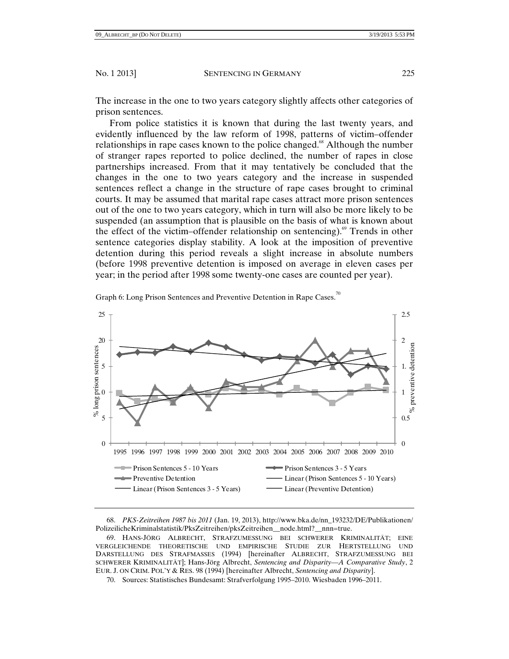The increase in the one to two years category slightly affects other categories of prison sentences.

 From police statistics it is known that during the last twenty years, and evidently influenced by the law reform of 1998, patterns of victim–offender relationships in rape cases known to the police changed.<sup>68</sup> Although the number of stranger rapes reported to police declined, the number of rapes in close partnerships increased. From that it may tentatively be concluded that the changes in the one to two years category and the increase in suspended sentences reflect a change in the structure of rape cases brought to criminal courts. It may be assumed that marital rape cases attract more prison sentences out of the one to two years category, which in turn will also be more likely to be suspended (an assumption that is plausible on the basis of what is known about the effect of the victim–offender relationship on sentencing).<sup>69</sup> Trends in other sentence categories display stability. A look at the imposition of preventive detention during this period reveals a slight increase in absolute numbers (before 1998 preventive detention is imposed on average in eleven cases per year; in the period after 1998 some twenty-one cases are counted per year).





 <sup>68.</sup> *PKS-Zeitreihen 1987 bis 2011* (Jan. 19, 2013), http://www.bka.de/nn\_193232/DE/Publikationen/ PolizeilicheKriminalstatistik/PksZeitreihen/pksZeitreihen\_\_node.html?\_\_nnn=true.

 <sup>69.</sup> HANS-JÖRG ALBRECHT, STRAFZUMESSUNG BEI SCHWERER KRIMINALITÄT; EINE VERGLEICHENDE THEORETISCHE UND EMPIRISCHE STUDIE ZUR HERTSTELLUNG UND DARSTELLUNG DES STRAFMASSES (1994) [hereinafter ALBRECHT, STRAFZUMESSUNG BEI SCHWERER KRIMINALITÄT]; Hans-Jörg Albrecht, *Sentencing and Disparity—A Comparative Study*, 2 EUR. J. ON CRIM. POL'Y & RES. 98 (1994) [hereinafter Albrecht, *Sentencing and Disparity*].

 <sup>70.</sup> Sources: Statistisches Bundesamt: Strafverfolgung 1995–2010. Wiesbaden 1996–2011.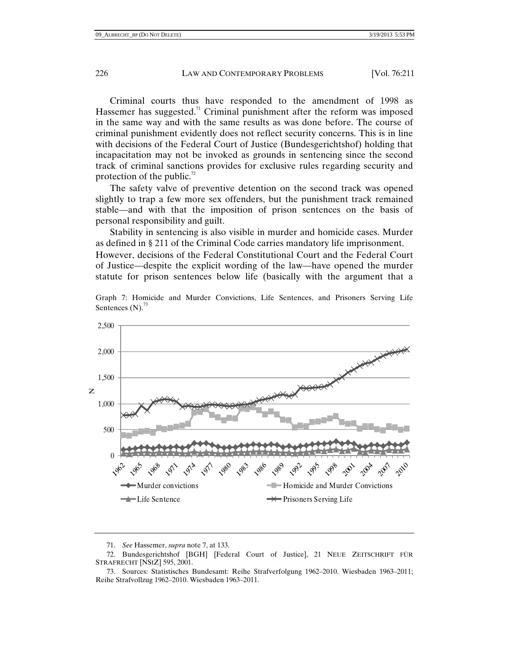Criminal courts thus have responded to the amendment of 1998 as Hassemer has suggested.<sup>71</sup> Criminal punishment after the reform was imposed in the same way and with the same results as was done before. The course of criminal punishment evidently does not reflect security concerns. This is in line with decisions of the Federal Court of Justice (Bundesgerichtshof) holding that incapacitation may not be invoked as grounds in sentencing since the second track of criminal sanctions provides for exclusive rules regarding security and protection of the public.<sup>72</sup>

The safety valve of preventive detention on the second track was opened slightly to trap a few more sex offenders, but the punishment track remained stable—and with that the imposition of prison sentences on the basis of personal responsibility and guilt.

Stability in sentencing is also visible in murder and homicide cases. Murder as defined in § 211 of the Criminal Code carries mandatory life imprisonment.

However, decisions of the Federal Constitutional Court and the Federal Court of Justice—despite the explicit wording of the law—have opened the murder statute for prison sentences below life (basically with the argument that a

Graph 7: Homicide and Murder Convictions, Life Sentences, and Prisoners Serving Life Sentences  $(N)$ .<sup>73</sup>



 <sup>71.</sup> *See* Hassemer, *supra* note 7, at 133.

 <sup>72.</sup> Bundesgerichtshof [BGH] [Federal Court of Justice], 21 NEUE ZEITSCHRIFT FÜR STRAFRECHT [NStZ] 595, 2001.

 <sup>73.</sup> Sources: Statistisches Bundesamt: Reihe Strafverfolgung 1962–2010. Wiesbaden 1963–2011; Reihe Strafvollzug 1962–2010. Wiesbaden 1963–2011.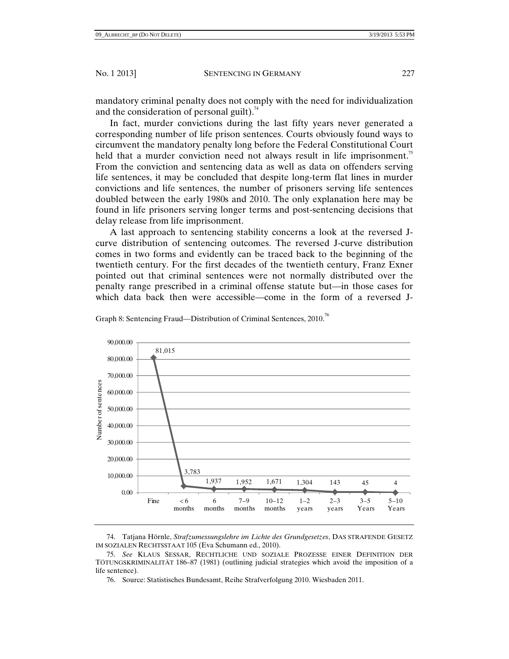mandatory criminal penalty does not comply with the need for individualization and the consideration of personal guilt). $74$ 

In fact, murder convictions during the last fifty years never generated a corresponding number of life prison sentences. Courts obviously found ways to circumvent the mandatory penalty long before the Federal Constitutional Court held that a murder conviction need not always result in life imprisonment.<sup>75</sup> From the conviction and sentencing data as well as data on offenders serving life sentences, it may be concluded that despite long-term flat lines in murder convictions and life sentences, the number of prisoners serving life sentences doubled between the early 1980s and 2010. The only explanation here may be found in life prisoners serving longer terms and post-sentencing decisions that delay release from life imprisonment.

A last approach to sentencing stability concerns a look at the reversed Jcurve distribution of sentencing outcomes. The reversed J-curve distribution comes in two forms and evidently can be traced back to the beginning of the twentieth century. For the first decades of the twentieth century, Franz Exner pointed out that criminal sentences were not normally distributed over the penalty range prescribed in a criminal offense statute but—in those cases for which data back then were accessible—come in the form of a reversed J-



Graph 8: Sentencing Fraud—Distribution of Criminal Sentences, 2010.<sup>76</sup>

 74. Tatjana Hörnle, *Strafzumessungslehre im Lichte des Grundgesetzes*, DAS STRAFENDE GESETZ IM SOZIALEN RECHTSSTAAT 105 (Eva Schumann ed., 2010).

 75. *See* KLAUS SESSAR, RECHTLICHE UND SOZIALE PROZESSE EINER DEFINITION DER TÖTUNGSKRIMINALITÄT 186–87 (1981) (outlining judicial strategies which avoid the imposition of a life sentence).

76. Source: Statistisches Bundesamt, Reihe Strafverfolgung 2010. Wiesbaden 2011.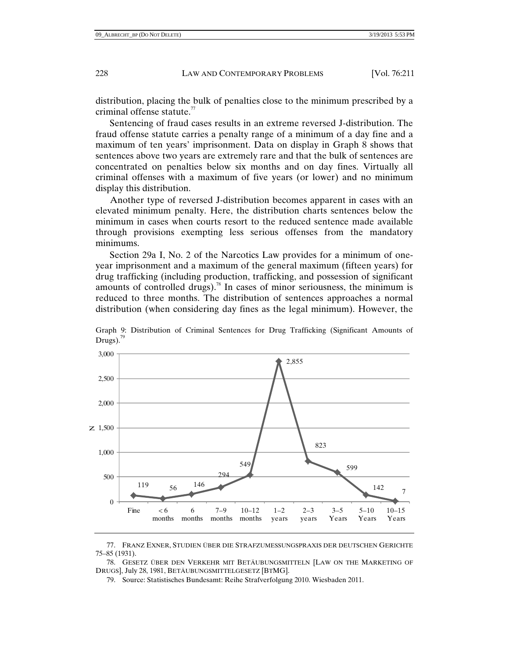distribution, placing the bulk of penalties close to the minimum prescribed by a criminal offense statute.<sup>77</sup>

Sentencing of fraud cases results in an extreme reversed J-distribution. The fraud offense statute carries a penalty range of a minimum of a day fine and a maximum of ten years' imprisonment. Data on display in Graph 8 shows that sentences above two years are extremely rare and that the bulk of sentences are concentrated on penalties below six months and on day fines. Virtually all criminal offenses with a maximum of five years (or lower) and no minimum display this distribution.

Another type of reversed J-distribution becomes apparent in cases with an elevated minimum penalty. Here, the distribution charts sentences below the minimum in cases when courts resort to the reduced sentence made available through provisions exempting less serious offenses from the mandatory minimums.

Section 29a I, No. 2 of the Narcotics Law provides for a minimum of oneyear imprisonment and a maximum of the general maximum (fifteen years) for drug trafficking (including production, trafficking, and possession of significant amounts of controlled drugs).<sup>78</sup> In cases of minor seriousness, the minimum is reduced to three months. The distribution of sentences approaches a normal distribution (when considering day fines as the legal minimum). However, the



Graph 9: Distribution of Criminal Sentences for Drug Trafficking (Significant Amounts of Drugs). $\frac{75}{2}$ 

 78. GESETZ ÜBER DEN VERKEHR MIT BETÄUBUNGSMITTELN [LAW ON THE MARKETING OF DRUGS], July 28, 1981, BETÄUBUNGSMITTELGESETZ [BTMG].

79. Source: Statistisches Bundesamt: Reihe Strafverfolgung 2010. Wiesbaden 2011.

 <sup>77.</sup> FRANZ EXNER, STUDIEN ÜBER DIE STRAFZUMESSUNGSPRAXIS DER DEUTSCHEN GERICHTE 75–85 (1931).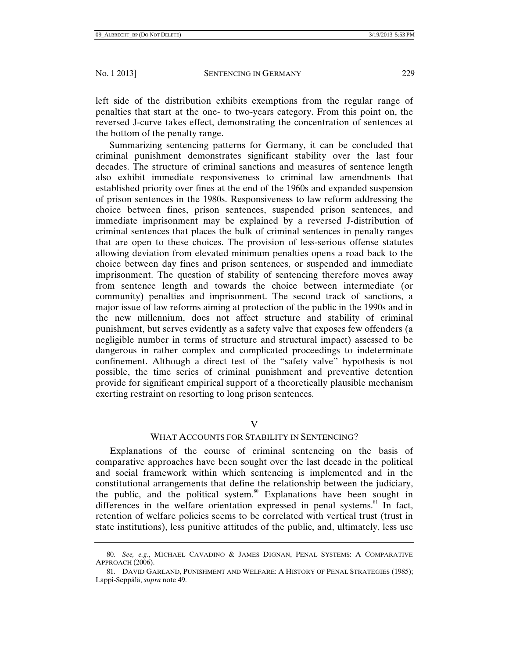left side of the distribution exhibits exemptions from the regular range of penalties that start at the one- to two-years category. From this point on, the reversed J-curve takes effect, demonstrating the concentration of sentences at the bottom of the penalty range.

Summarizing sentencing patterns for Germany, it can be concluded that criminal punishment demonstrates significant stability over the last four decades. The structure of criminal sanctions and measures of sentence length also exhibit immediate responsiveness to criminal law amendments that established priority over fines at the end of the 1960s and expanded suspension of prison sentences in the 1980s. Responsiveness to law reform addressing the choice between fines, prison sentences, suspended prison sentences, and immediate imprisonment may be explained by a reversed J-distribution of criminal sentences that places the bulk of criminal sentences in penalty ranges that are open to these choices. The provision of less-serious offense statutes allowing deviation from elevated minimum penalties opens a road back to the choice between day fines and prison sentences, or suspended and immediate imprisonment. The question of stability of sentencing therefore moves away from sentence length and towards the choice between intermediate (or community) penalties and imprisonment. The second track of sanctions, a major issue of law reforms aiming at protection of the public in the 1990s and in the new millennium, does not affect structure and stability of criminal punishment, but serves evidently as a safety valve that exposes few offenders (a negligible number in terms of structure and structural impact) assessed to be dangerous in rather complex and complicated proceedings to indeterminate confinement. Although a direct test of the "safety valve" hypothesis is not possible, the time series of criminal punishment and preventive detention provide for significant empirical support of a theoretically plausible mechanism exerting restraint on resorting to long prison sentences.

# $\overline{\mathbf{V}}$

# WHAT ACCOUNTS FOR STABILITY IN SENTENCING?

Explanations of the course of criminal sentencing on the basis of comparative approaches have been sought over the last decade in the political and social framework within which sentencing is implemented and in the constitutional arrangements that define the relationship between the judiciary, the public, and the political system.<sup>80</sup> Explanations have been sought in differences in the welfare orientation expressed in penal systems. $81$  In fact, retention of welfare policies seems to be correlated with vertical trust (trust in state institutions), less punitive attitudes of the public, and, ultimately, less use

 <sup>80.</sup> *See, e.g.*, MICHAEL CAVADINO & JAMES DIGNAN, PENAL SYSTEMS: A COMPARATIVE APPROACH (2006).

 <sup>81.</sup> DAVID GARLAND, PUNISHMENT AND WELFARE: A HISTORY OF PENAL STRATEGIES (1985); Lappi-Seppälä, *supra* note 49.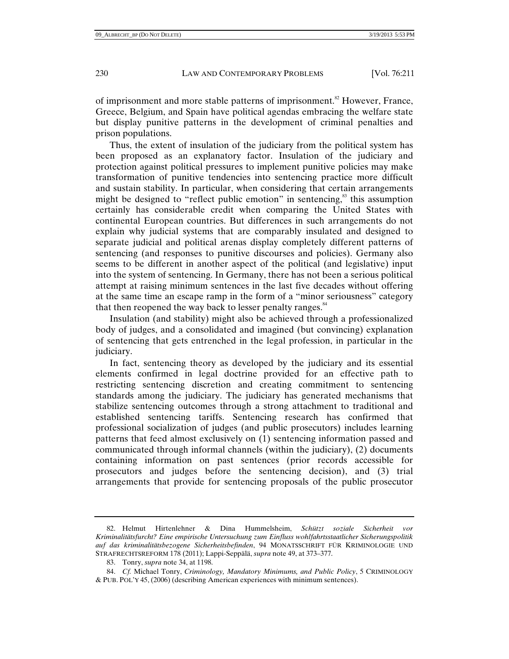of imprisonment and more stable patterns of imprisonment.<sup>82</sup> However, France, Greece, Belgium, and Spain have political agendas embracing the welfare state but display punitive patterns in the development of criminal penalties and prison populations.

Thus, the extent of insulation of the judiciary from the political system has been proposed as an explanatory factor. Insulation of the judiciary and protection against political pressures to implement punitive policies may make transformation of punitive tendencies into sentencing practice more difficult and sustain stability. In particular, when considering that certain arrangements might be designed to "reflect public emotion" in sentencing, $\frac{83}{3}$  this assumption certainly has considerable credit when comparing the United States with continental European countries. But differences in such arrangements do not explain why judicial systems that are comparably insulated and designed to separate judicial and political arenas display completely different patterns of sentencing (and responses to punitive discourses and policies). Germany also seems to be different in another aspect of the political (and legislative) input into the system of sentencing. In Germany, there has not been a serious political attempt at raising minimum sentences in the last five decades without offering at the same time an escape ramp in the form of a "minor seriousness" category that then reopened the way back to lesser penalty ranges. $84$ 

Insulation (and stability) might also be achieved through a professionalized body of judges, and a consolidated and imagined (but convincing) explanation of sentencing that gets entrenched in the legal profession, in particular in the judiciary.

In fact, sentencing theory as developed by the judiciary and its essential elements confirmed in legal doctrine provided for an effective path to restricting sentencing discretion and creating commitment to sentencing standards among the judiciary. The judiciary has generated mechanisms that stabilize sentencing outcomes through a strong attachment to traditional and established sentencing tariffs. Sentencing research has confirmed that professional socialization of judges (and public prosecutors) includes learning patterns that feed almost exclusively on (1) sentencing information passed and communicated through informal channels (within the judiciary), (2) documents containing information on past sentences (prior records accessible for prosecutors and judges before the sentencing decision), and (3) trial arrangements that provide for sentencing proposals of the public prosecutor

 84. *Cf.* Michael Tonry, *Criminology, Mandatory Minimums, and Public Policy*, 5 CRIMINOLOGY & PUB. POL'Y 45, (2006) (describing American experiences with minimum sentences).

 <sup>82.</sup> Helmut Hirtenlehner & Dina Hummelsheim, *Schützt soziale Sicherheit vor Kriminalitätsfurcht? Eine empirische Untersuchung zum Einfluss wohlfahrtsstaatlicher Sicherungspolitik auf das kriminalitätsbezogene Sicherheitsbefinden*, 94 MONATSSCHRIFT FÜR KRIMINOLOGIE UND STRAFRECHTSREFORM 178 (2011); Lappi-Seppälä, *supra* note 49, at 373–377.

 <sup>83.</sup> Tonry, *supra* note 34, at 1198.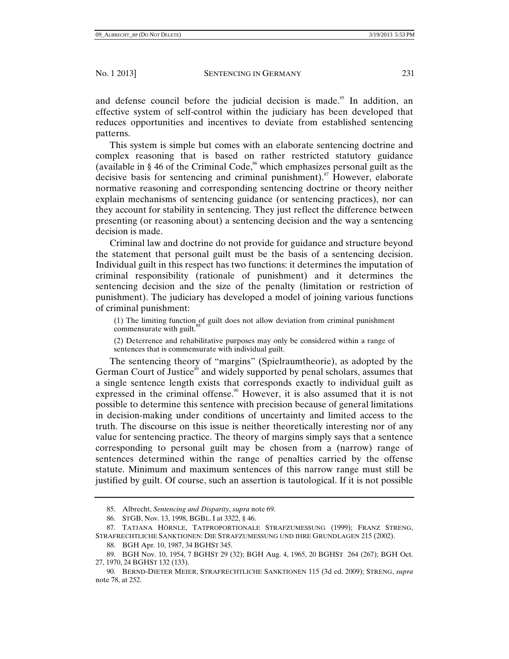and defense council before the judicial decision is made.<sup>85</sup> In addition, an effective system of self-control within the judiciary has been developed that reduces opportunities and incentives to deviate from established sentencing patterns.

This system is simple but comes with an elaborate sentencing doctrine and complex reasoning that is based on rather restricted statutory guidance (available in  $\S$  46 of the Criminal Code,<sup>86</sup> which emphasizes personal guilt as the decisive basis for sentencing and criminal punishment).<sup>87</sup> However, elaborate normative reasoning and corresponding sentencing doctrine or theory neither explain mechanisms of sentencing guidance (or sentencing practices), nor can they account for stability in sentencing. They just reflect the difference between presenting (or reasoning about) a sentencing decision and the way a sentencing decision is made.

Criminal law and doctrine do not provide for guidance and structure beyond the statement that personal guilt must be the basis of a sentencing decision. Individual guilt in this respect has two functions: it determines the imputation of criminal responsibility (rationale of punishment) and it determines the sentencing decision and the size of the penalty (limitation or restriction of punishment). The judiciary has developed a model of joining various functions of criminal punishment:

(1) The limiting function of guilt does not allow deviation from criminal punishment commensurate with guilt.<sup>8</sup>

(2) Deterrence and rehabilitative purposes may only be considered within a range of sentences that is commensurate with individual guilt.

The sentencing theory of "margins" (Spielraumtheorie), as adopted by the German Court of Justice<sup>89</sup> and widely supported by penal scholars, assumes that a single sentence length exists that corresponds exactly to individual guilt as expressed in the criminal offense.<sup>90</sup> However, it is also assumed that it is not possible to determine this sentence with precision because of general limitations in decision-making under conditions of uncertainty and limited access to the truth. The discourse on this issue is neither theoretically interesting nor of any value for sentencing practice. The theory of margins simply says that a sentence corresponding to personal guilt may be chosen from a (narrow) range of sentences determined within the range of penalties carried by the offense statute. Minimum and maximum sentences of this narrow range must still be justified by guilt. Of course, such an assertion is tautological. If it is not possible

 <sup>85.</sup> Albrecht, *Sentencing and Disparity*, *supra* note 69.

 <sup>86.</sup> STGB, Nov. 13, 1998, BGBL. I at 3322, § 46.

 <sup>87.</sup> TATJANA HÖRNLE, TATPROPORTIONALE STRAFZUMESSUNG (1999); FRANZ STRENG, STRAFRECHTLICHE SANKTIONEN: DIE STRAFZUMESSUNG UND IHRE GRUNDLAGEN 215 (2002).

 <sup>88.</sup> BGH Apr. 10, 1987, 34 BGHST 345.

 <sup>89.</sup> BGH Nov. 10, 1954, 7 BGHST 29 (32); BGH Aug. 4, 1965, 20 BGHST 264 (267); BGH Oct. 27, 1970, 24 BGHST 132 (133).

 <sup>90.</sup> BERND-DIETER MEIER, STRAFRECHTLICHE SANKTIONEN 115 (3d ed. 2009); STRENG, *supra* note 78, at 252.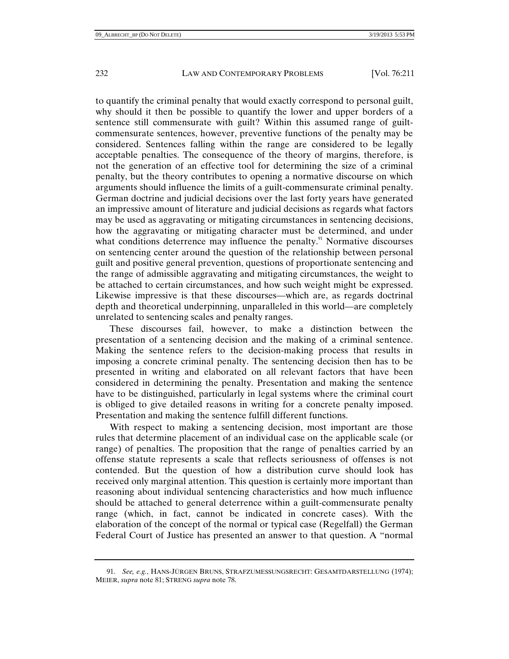to quantify the criminal penalty that would exactly correspond to personal guilt, why should it then be possible to quantify the lower and upper borders of a sentence still commensurate with guilt? Within this assumed range of guiltcommensurate sentences, however, preventive functions of the penalty may be considered. Sentences falling within the range are considered to be legally acceptable penalties. The consequence of the theory of margins, therefore, is not the generation of an effective tool for determining the size of a criminal penalty, but the theory contributes to opening a normative discourse on which arguments should influence the limits of a guilt-commensurate criminal penalty. German doctrine and judicial decisions over the last forty years have generated an impressive amount of literature and judicial decisions as regards what factors may be used as aggravating or mitigating circumstances in sentencing decisions, how the aggravating or mitigating character must be determined, and under what conditions deterrence may influence the penalty.<sup>91</sup> Normative discourses on sentencing center around the question of the relationship between personal guilt and positive general prevention, questions of proportionate sentencing and the range of admissible aggravating and mitigating circumstances, the weight to be attached to certain circumstances, and how such weight might be expressed. Likewise impressive is that these discourses—which are, as regards doctrinal depth and theoretical underpinning, unparalleled in this world—are completely unrelated to sentencing scales and penalty ranges.

These discourses fail, however, to make a distinction between the presentation of a sentencing decision and the making of a criminal sentence. Making the sentence refers to the decision-making process that results in imposing a concrete criminal penalty. The sentencing decision then has to be presented in writing and elaborated on all relevant factors that have been considered in determining the penalty. Presentation and making the sentence have to be distinguished, particularly in legal systems where the criminal court is obliged to give detailed reasons in writing for a concrete penalty imposed. Presentation and making the sentence fulfill different functions.

With respect to making a sentencing decision, most important are those rules that determine placement of an individual case on the applicable scale (or range) of penalties. The proposition that the range of penalties carried by an offense statute represents a scale that reflects seriousness of offenses is not contended. But the question of how a distribution curve should look has received only marginal attention. This question is certainly more important than reasoning about individual sentencing characteristics and how much influence should be attached to general deterrence within a guilt-commensurate penalty range (which, in fact, cannot be indicated in concrete cases). With the elaboration of the concept of the normal or typical case (Regelfall) the German Federal Court of Justice has presented an answer to that question. A "normal

 <sup>91.</sup> *See, e.g.*, HANS-JÜRGEN BRUNS, STRAFZUMESSUNGSRECHT: GESAMTDARSTELLUNG (1974); MEIER, *supra* note 81; STRENG *supra* note 78.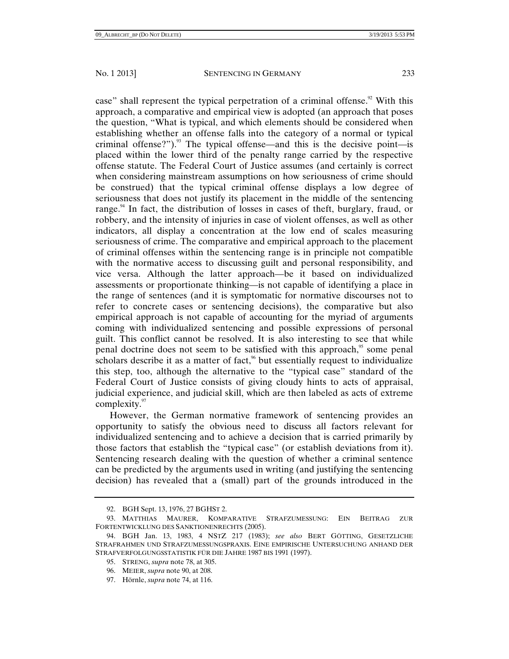case" shall represent the typical perpetration of a criminal offense.<sup>92</sup> With this approach, a comparative and empirical view is adopted (an approach that poses the question, "What is typical, and which elements should be considered when establishing whether an offense falls into the category of a normal or typical criminal offense?").<sup>93</sup> The typical offense—and this is the decisive point—is placed within the lower third of the penalty range carried by the respective offense statute. The Federal Court of Justice assumes (and certainly is correct when considering mainstream assumptions on how seriousness of crime should be construed) that the typical criminal offense displays a low degree of seriousness that does not justify its placement in the middle of the sentencing range. $94$  In fact, the distribution of losses in cases of theft, burglary, fraud, or robbery, and the intensity of injuries in case of violent offenses, as well as other indicators, all display a concentration at the low end of scales measuring seriousness of crime. The comparative and empirical approach to the placement of criminal offenses within the sentencing range is in principle not compatible with the normative access to discussing guilt and personal responsibility, and vice versa. Although the latter approach—be it based on individualized assessments or proportionate thinking—is not capable of identifying a place in the range of sentences (and it is symptomatic for normative discourses not to refer to concrete cases or sentencing decisions), the comparative but also empirical approach is not capable of accounting for the myriad of arguments coming with individualized sentencing and possible expressions of personal guilt. This conflict cannot be resolved. It is also interesting to see that while penal doctrine does not seem to be satisfied with this approach,<sup>95</sup> some penal scholars describe it as a matter of fact,<sup> $%$ </sup> but essentially request to individualize this step, too, although the alternative to the "typical case" standard of the Federal Court of Justice consists of giving cloudy hints to acts of appraisal, judicial experience, and judicial skill, which are then labeled as acts of extreme complexity. $97$ 

However, the German normative framework of sentencing provides an opportunity to satisfy the obvious need to discuss all factors relevant for individualized sentencing and to achieve a decision that is carried primarily by those factors that establish the "typical case" (or establish deviations from it). Sentencing research dealing with the question of whether a criminal sentence can be predicted by the arguments used in writing (and justifying the sentencing decision) has revealed that a (small) part of the grounds introduced in the

97. Hörnle, *supra* note 74, at 116.

 <sup>92.</sup> BGH Sept. 13, 1976, 27 BGHST 2.

 <sup>93.</sup> MATTHIAS MAURER, KOMPARATIVE STRAFZUMESSUNG: EIN BEITRAG ZUR FORTENTWICKLUNG DES SANKTIONENRECHTS (2005).

 <sup>94.</sup> BGH Jan. 13, 1983, 4 NSTZ 217 (1983); *see also* BERT GÖTTING, GESETZLICHE STRAFRAHMEN UND STRAFZUMESSUNGSPRAXIS. EINE EMPIRISCHE UNTERSUCHUNG ANHAND DER STRAFVERFOLGUNGSSTATISTIK FÜR DIE JAHRE 1987 BIS 1991 (1997).

 <sup>95.</sup> STRENG, *supra* note 78, at 305.

 <sup>96.</sup> MEIER, *supra* note 90, at 208.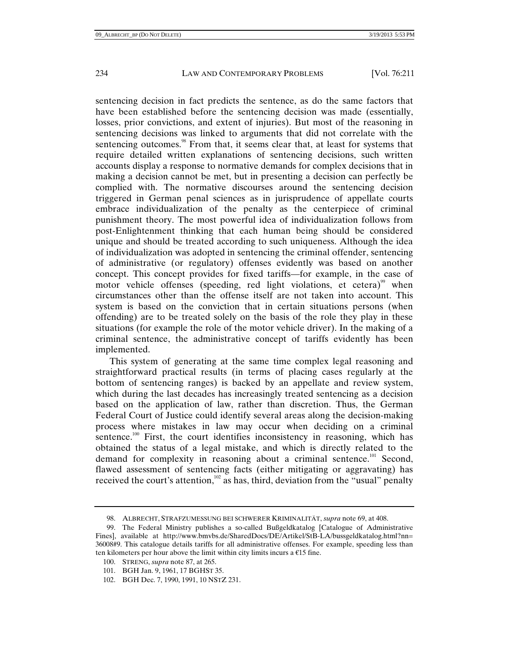sentencing decision in fact predicts the sentence, as do the same factors that have been established before the sentencing decision was made (essentially, losses, prior convictions, and extent of injuries). But most of the reasoning in sentencing decisions was linked to arguments that did not correlate with the sentencing outcomes.<sup>98</sup> From that, it seems clear that, at least for systems that require detailed written explanations of sentencing decisions, such written accounts display a response to normative demands for complex decisions that in making a decision cannot be met, but in presenting a decision can perfectly be complied with. The normative discourses around the sentencing decision triggered in German penal sciences as in jurisprudence of appellate courts embrace individualization of the penalty as the centerpiece of criminal punishment theory. The most powerful idea of individualization follows from post-Enlightenment thinking that each human being should be considered unique and should be treated according to such uniqueness. Although the idea of individualization was adopted in sentencing the criminal offender, sentencing of administrative (or regulatory) offenses evidently was based on another concept. This concept provides for fixed tariffs—for example, in the case of motor vehicle offenses (speeding, red light violations, et cetera)<sup>99</sup> when circumstances other than the offense itself are not taken into account. This system is based on the conviction that in certain situations persons (when offending) are to be treated solely on the basis of the role they play in these situations (for example the role of the motor vehicle driver). In the making of a criminal sentence, the administrative concept of tariffs evidently has been implemented.

This system of generating at the same time complex legal reasoning and straightforward practical results (in terms of placing cases regularly at the bottom of sentencing ranges) is backed by an appellate and review system, which during the last decades has increasingly treated sentencing as a decision based on the application of law, rather than discretion. Thus, the German Federal Court of Justice could identify several areas along the decision-making process where mistakes in law may occur when deciding on a criminal sentence.<sup>100</sup> First, the court identifies inconsistency in reasoning, which has obtained the status of a legal mistake, and which is directly related to the demand for complexity in reasoning about a criminal sentence.<sup>101</sup> Second, flawed assessment of sentencing facts (either mitigating or aggravating) has received the court's attention,<sup>102</sup> as has, third, deviation from the "usual" penalty

- 100. STRENG, *supra* note 87, at 265.
- 101. BGH Jan. 9, 1961, 17 BGHST 35.
- 102. BGH Dec. 7, 1990, 1991, 10 NSTZ 231.

 <sup>98.</sup> ALBRECHT, STRAFZUMESSUNG BEI SCHWERER KRIMINALITÄT, *supra* note 69, at 408.

 <sup>99.</sup> The Federal Ministry publishes a so-called Bußgeldkatalog [Catalogue of Administrative Fines], available at http://www.bmvbs.de/SharedDocs/DE/Artikel/StB-LA/bussgeldkatalog.html?nn= 36008#9. This catalogue details tariffs for all administrative offenses. For example, speeding less than ten kilometers per hour above the limit within city limits incurs a  $\epsilon$ 15 fine.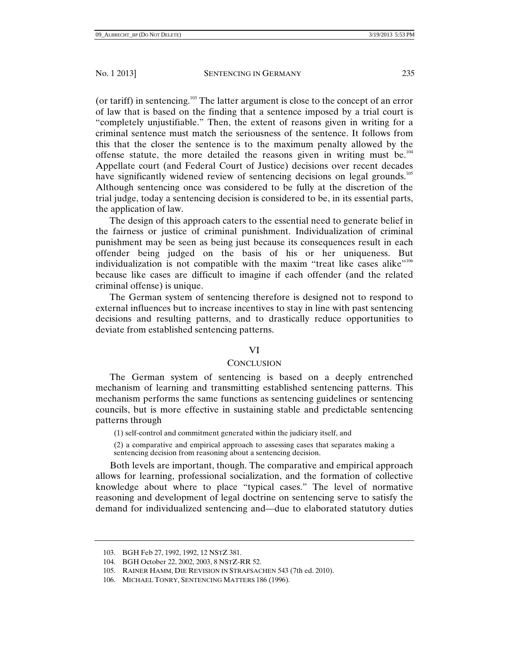(or tariff) in sentencing.103 The latter argument is close to the concept of an error of law that is based on the finding that a sentence imposed by a trial court is "completely unjustifiable." Then, the extent of reasons given in writing for a criminal sentence must match the seriousness of the sentence. It follows from this that the closer the sentence is to the maximum penalty allowed by the offense statute, the more detailed the reasons given in writing must be.<sup>104</sup> Appellate court (and Federal Court of Justice) decisions over recent decades have significantly widened review of sentencing decisions on legal grounds.<sup>105</sup> Although sentencing once was considered to be fully at the discretion of the trial judge, today a sentencing decision is considered to be, in its essential parts, the application of law.

The design of this approach caters to the essential need to generate belief in the fairness or justice of criminal punishment. Individualization of criminal punishment may be seen as being just because its consequences result in each offender being judged on the basis of his or her uniqueness. But individualization is not compatible with the maxim "treat like cases alike"<sup>106</sup> because like cases are difficult to imagine if each offender (and the related criminal offense) is unique.

The German system of sentencing therefore is designed not to respond to external influences but to increase incentives to stay in line with past sentencing decisions and resulting patterns, and to drastically reduce opportunities to deviate from established sentencing patterns.

## VI

# **CONCLUSION**

The German system of sentencing is based on a deeply entrenched mechanism of learning and transmitting established sentencing patterns. This mechanism performs the same functions as sentencing guidelines or sentencing councils, but is more effective in sustaining stable and predictable sentencing patterns through

(1) self-control and commitment generated within the judiciary itself, and

(2) a comparative and empirical approach to assessing cases that separates making a sentencing decision from reasoning about a sentencing decision.

Both levels are important, though. The comparative and empirical approach allows for learning, professional socialization, and the formation of collective knowledge about where to place "typical cases." The level of normative reasoning and development of legal doctrine on sentencing serve to satisfy the demand for individualized sentencing and—due to elaborated statutory duties

 <sup>103.</sup> BGH Feb 27, 1992, 1992, 12 NSTZ 381.

 <sup>104.</sup> BGH October 22, 2002, 2003, 8 NSTZ-RR 52.

 <sup>105.</sup> RAINER HAMM, DIE REVISION IN STRAFSACHEN 543 (7th ed. 2010).

 <sup>106.</sup> MICHAEL TONRY, SENTENCING MATTERS 186 (1996).